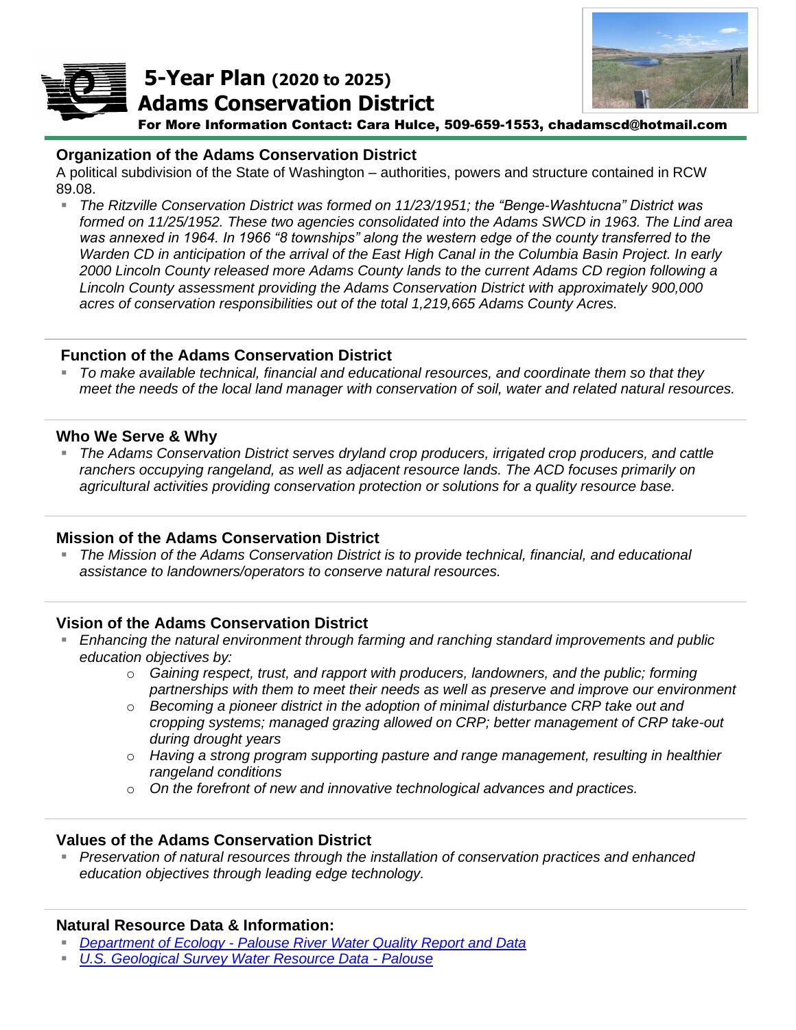

**5-Year Plan (2020 to 2025) Adams Conservation District**



For More Information Contact: Cara Hulce, 509-659-1553, chadamscd@hotmail.com *Picture of Natural Resource Project*

### **Organization of the Adams Conservation District**

A political subdivision of the State of Washington – authorities, powers and structure contained in RCW 89.08.

▪ *The Ritzville Conservation District was formed on 11/23/1951; the "Benge-Washtucna" District was formed on 11/25/1952. These two agencies consolidated into the Adams SWCD in 1963. The Lind area was annexed in 1964. In 1966 "8 townships" along the western edge of the county transferred to the Warden CD in anticipation of the arrival of the East High Canal in the Columbia Basin Project. In early 2000 Lincoln County released more Adams County lands to the current Adams CD region following a Lincoln County assessment providing the Adams Conservation District with approximately 900,000 acres of conservation responsibilities out of the total 1,219,665 Adams County Acres.*

#### **Function of the Adams Conservation District**

▪ *To make available technical, financial and educational resources, and coordinate them so that they meet the needs of the local land manager with conservation of soil, water and related natural resources.*

#### **Who We Serve & Why**

▪ *The Adams Conservation District serves dryland crop producers, irrigated crop producers, and cattle ranchers occupying rangeland, as well as adjacent resource lands. The ACD focuses primarily on agricultural activities providing conservation protection or solutions for a quality resource base.*

#### **Mission of the Adams Conservation District**

The Mission of the Adams Conservation District is to provide technical, financial, and educational *assistance to landowners/operators to conserve natural resources.*

# **Vision of the Adams Conservation District**

- *Enhancing the natural environment through farming and ranching standard improvements and public education objectives by:* 
	- o *Gaining respect, trust, and rapport with producers, landowners, and the public; forming partnerships with them to meet their needs as well as preserve and improve our environment*
	- o *Becoming a pioneer district in the adoption of minimal disturbance CRP take out and cropping systems; managed grazing allowed on CRP; better management of CRP take-out during drought years*
	- o *Having a strong program supporting pasture and range management, resulting in healthier rangeland conditions*
	- o *On the forefront of new and innovative technological advances and practices.*

#### **Values of the Adams Conservation District**

■ *Preservation of natural resources through the installation of conservation practices and enhanced education objectives through leading edge technology.*

# **Natural Resource Data & Information:**

- *Department of Ecology - [Palouse River Water Quality Report and Data](https://ecology.wa.gov/Water-Shorelines/Water-quality/Water-improvement/Total-Maximum-Daily-Load-process/Directory-of-improvement-projects/Palouse)*
- *[U.S. Geological Survey Water Resource Data -](https://water.usgs.gov/lookup/getwatershed?17060108) Palouse*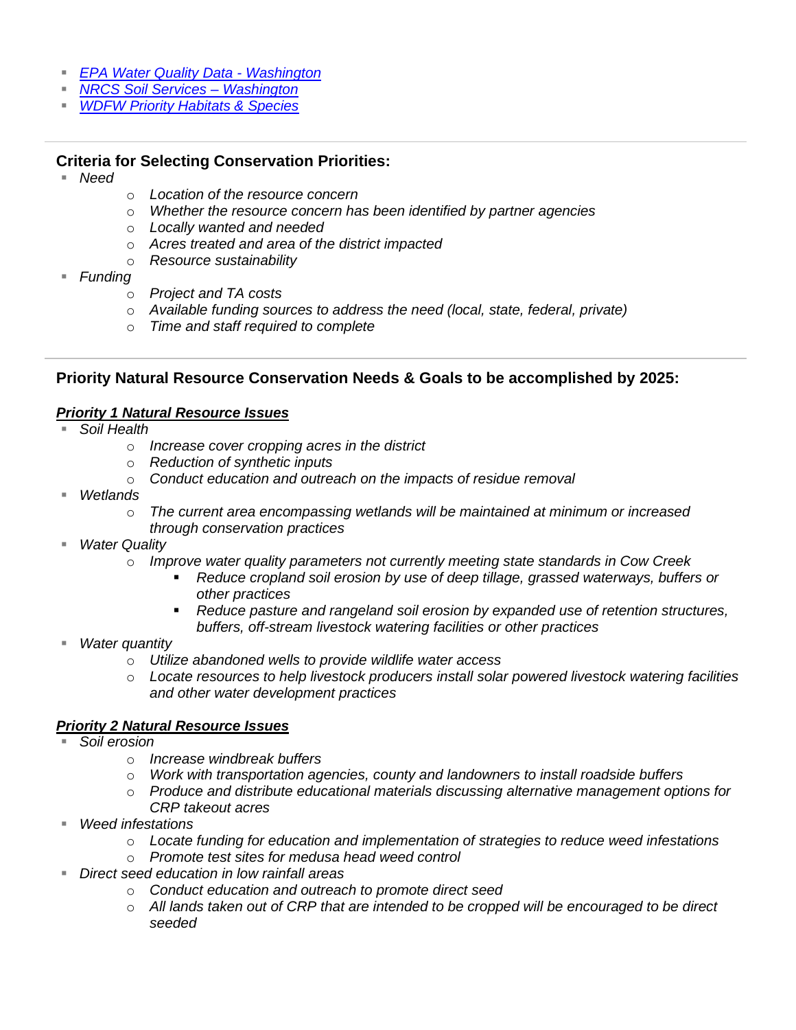- *[EPA Water Quality](https://ecology.wa.gov/Water-Shorelines/Water-quality/Water-improvement/Assessment-of-state-waters-303d) Data - Washington*
- *[NRCS Soil Services –](https://www.nrcs.usda.gov/wps/portal/nrcs/main/wa/soils/) Washington*
- *[WDFW Priority Habitats & Species](https://wdfw.wa.gov/species-habitats/at-risk/phs)*

### **Criteria for Selecting Conservation Priorities:**

- *Need*
- o *Location of the resource concern*
- o *Whether the resource concern has been identified by partner agencies*
- o *Locally wanted and needed*
- o *Acres treated and area of the district impacted*
- o *Resource sustainability*
- *Funding*
	- o *Project and TA costs*
	- o *Available funding sources to address the need (local, state, federal, private)*
	- o *Time and staff required to complete*

### **Priority Natural Resource Conservation Needs & Goals to be accomplished by 2025:**

#### *Priority 1 Natural Resource Issues*

- *Soil Health* 
	- o *Increase cover cropping acres in the district*
	- o *Reduction of synthetic inputs*
	- o *Conduct education and outreach on the impacts of residue removal*
- Wetlands
	- o *The current area encompassing wetlands will be maintained at minimum or increased through conservation practices*
- *Water Quality* 
	- o *Improve water quality parameters not currently meeting state standards in Cow Creek*
		- *Reduce cropland soil erosion by use of deep tillage, grassed waterways, buffers or other practices*
		- *Reduce pasture and rangeland soil erosion by expanded use of retention structures, buffers, off-stream livestock watering facilities or other practices*
- *Water quantity*
	- o *Utilize abandoned wells to provide wildlife water access*
	- o *Locate resources to help livestock producers install solar powered livestock watering facilities and other water development practices*

#### *Priority 2 Natural Resource Issues*

- *Soil erosion*
	- o *Increase windbreak buffers*
	- o *Work with transportation agencies, county and landowners to install roadside buffers*
	- o *Produce and distribute educational materials discussing alternative management options for CRP takeout acres*
- *Weed infestations*
	- o *Locate funding for education and implementation of strategies to reduce weed infestations*
	- o *Promote test sites for medusa head weed control*
- *Direct seed education in low rainfall areas*
	- o *Conduct education and outreach to promote direct seed*
	- o *All lands taken out of CRP that are intended to be cropped will be encouraged to be direct seeded*